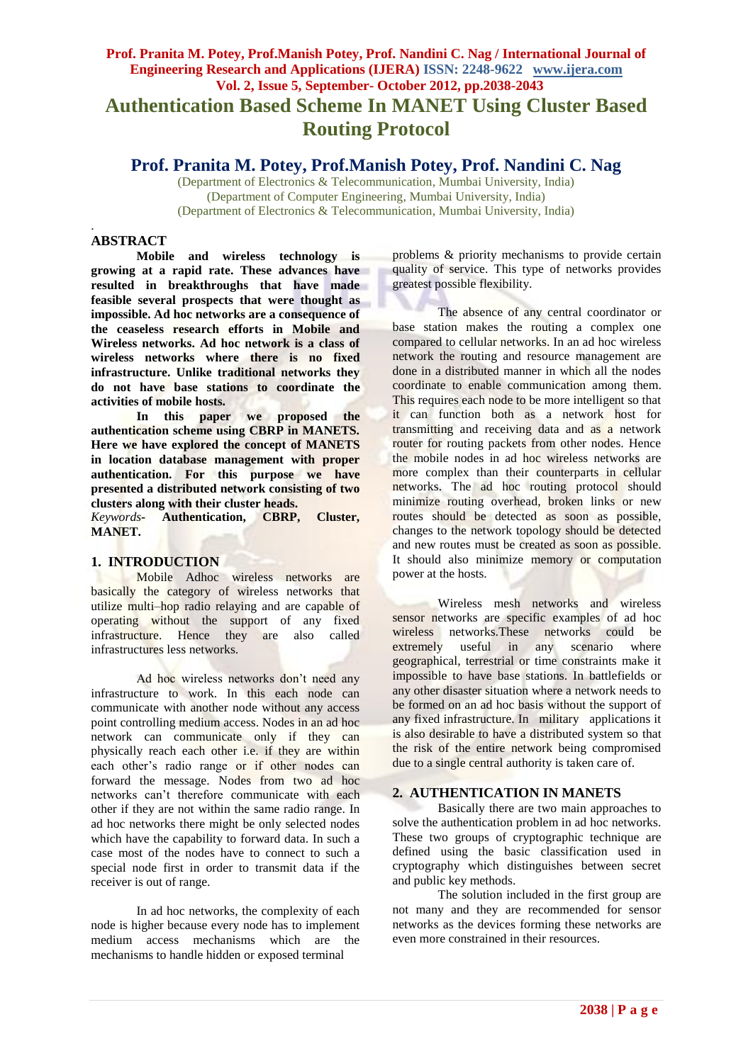# **Prof. Pranita M. Potey, Prof.Manish Potey, Prof. Nandini C. Nag / International Journal of Engineering Research and Applications (IJERA) ISSN: 2248-9622 www.ijera.com Vol. 2, Issue 5, September- October 2012, pp.2038-2043 Authentication Based Scheme In MANET Using Cluster Based Routing Protocol**

# **Prof. Pranita M. Potey, Prof.Manish Potey, Prof. Nandini C. Nag**

(Department of Electronics & Telecommunication, Mumbai University, India) (Department of Computer Engineering, Mumbai University, India) (Department of Electronics & Telecommunication, Mumbai University, India)

## **ABSTRACT**

.

**Mobile and wireless technology is growing at a rapid rate. These advances have resulted in breakthroughs that have made feasible several prospects that were thought as impossible. Ad hoc networks are a consequence of the ceaseless research efforts in Mobile and Wireless networks. Ad hoc network is a class of wireless networks where there is no fixed infrastructure. Unlike traditional networks they do not have base stations to coordinate the activities of mobile hosts.**

**In this paper we proposed the authentication scheme using CBRP in MANETS. Here we have explored the concept of MANETS in location database management with proper authentication. For this purpose we have presented a distributed network consisting of two clusters along with their cluster heads.**

*Keywords-* **Authentication, CBRP, Cluster, MANET.**

### **1. INTRODUCTION**

Mobile Adhoc wireless networks are basically the category of wireless networks that utilize multi–hop radio relaying and are capable of operating without the support of any fixed infrastructure. Hence they are also called infrastructures less networks.

Ad hoc wireless networks don't need any infrastructure to work. In this each node can communicate with another node without any access point controlling medium access. Nodes in an ad hoc network can communicate only if they can physically reach each other i.e. if they are within each other"s radio range or if other nodes can forward the message. Nodes from two ad hoc networks can"t therefore communicate with each other if they are not within the same radio range. In ad hoc networks there might be only selected nodes which have the capability to forward data. In such a case most of the nodes have to connect to such a special node first in order to transmit data if the receiver is out of range.

In ad hoc networks, the complexity of each node is higher because every node has to implement medium access mechanisms which are the mechanisms to handle hidden or exposed terminal

problems & priority mechanisms to provide certain quality of service. This type of networks provides greatest possible flexibility.

The absence of any central coordinator or base station makes the routing a complex one compared to cellular networks. In an ad hoc wireless network the routing and resource management are done in a distributed manner in which all the nodes coordinate to enable communication among them. This requires each node to be more intelligent so that it can function both as a network host for transmitting and receiving data and as a network router for routing packets from other nodes. Hence the mobile nodes in ad hoc wireless networks are more complex than their counterparts in cellular networks. The ad hoc routing protocol should minimize routing overhead, broken links or new routes should be detected as soon as possible, changes to the network topology should be detected and new routes must be created as soon as possible. It should also minimize memory or computation power at the hosts.

Wireless mesh networks and wireless sensor networks are specific examples of ad hoc wireless networks.These networks could be extremely useful in any scenario where geographical, terrestrial or time constraints make it impossible to have base stations. In battlefields or any other disaster situation where a network needs to be formed on an ad hoc basis without the support of any fixed infrastructure. In military applications it is also desirable to have a distributed system so that the risk of the entire network being compromised due to a single central authority is taken care of.

### **2. AUTHENTICATION IN MANETS**

Basically there are two main approaches to solve the authentication problem in ad hoc networks. These two groups of cryptographic technique are defined using the basic classification used in cryptography which distinguishes between secret and public key methods.

The solution included in the first group are not many and they are recommended for sensor networks as the devices forming these networks are even more constrained in their resources.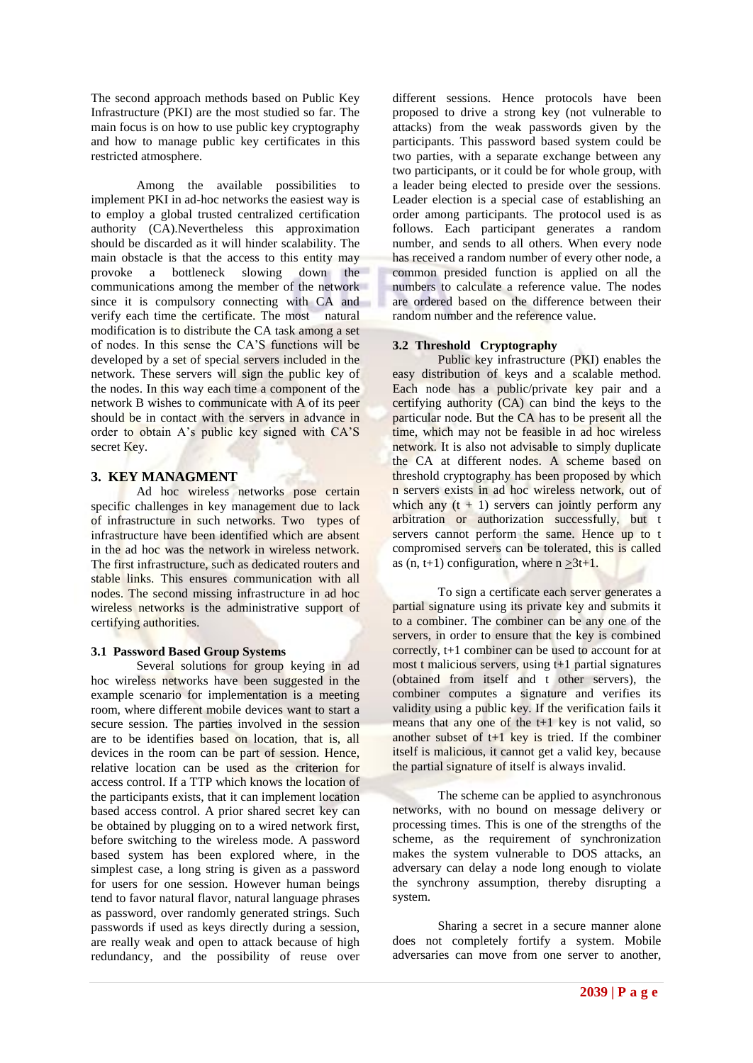The second approach methods based on Public Key Infrastructure (PKI) are the most studied so far. The main focus is on how to use public key cryptography and how to manage public key certificates in this restricted atmosphere.

Among the available possibilities to implement PKI in ad-hoc networks the easiest way is to employ a global trusted centralized certification authority (CA).Nevertheless this approximation should be discarded as it will hinder scalability. The main obstacle is that the access to this entity may provoke a bottleneck slowing down the communications among the member of the network since it is compulsory connecting with CA and verify each time the certificate. The most natural modification is to distribute the CA task among a set of nodes. In this sense the CA"S functions will be developed by a set of special servers included in the network. These servers will sign the public key of the nodes. In this way each time a component of the network B wishes to communicate with A of its peer should be in contact with the servers in advance in order to obtain A"s public key signed with CA"S secret Key.

#### **3. KEY MANAGMENT**

Ad hoc wireless networks pose certain specific challenges in key management due to lack of infrastructure in such networks. Two types of infrastructure have been identified which are absent in the ad hoc was the network in wireless network. The first infrastructure, such as dedicated routers and stable links. This ensures communication with all nodes. The second missing infrastructure in ad hoc wireless networks is the administrative support of certifying authorities.

#### **3.1 Password Based Group Systems**

Several solutions for group keying in ad hoc wireless networks have been suggested in the example scenario for implementation is a meeting room, where different mobile devices want to start a secure session. The parties involved in the session are to be identifies based on location, that is, all devices in the room can be part of session. Hence, relative location can be used as the criterion for access control. If a TTP which knows the location of the participants exists, that it can implement location based access control. A prior shared secret key can be obtained by plugging on to a wired network first, before switching to the wireless mode. A password based system has been explored where, in the simplest case, a long string is given as a password for users for one session. However human beings tend to favor natural flavor, natural language phrases as password, over randomly generated strings. Such passwords if used as keys directly during a session, are really weak and open to attack because of high redundancy, and the possibility of reuse over

different sessions. Hence protocols have been proposed to drive a strong key (not vulnerable to attacks) from the weak passwords given by the participants. This password based system could be two parties, with a separate exchange between any two participants, or it could be for whole group, with a leader being elected to preside over the sessions. Leader election is a special case of establishing an order among participants. The protocol used is as follows. Each participant generates a random number, and sends to all others. When every node has received a random number of every other node, a common presided function is applied on all the numbers to calculate a reference value. The nodes are ordered based on the difference between their random number and the reference value.

#### **3.2 Threshold Cryptography**

Public key infrastructure (PKI) enables the easy distribution of keys and a scalable method. Each node has a public/private key pair and a certifying authority (CA) can bind the keys to the particular node. But the CA has to be present all the time, which may not be feasible in ad hoc wireless network. It is also not advisable to simply duplicate the CA at different nodes. A scheme based on threshold cryptography has been proposed by which n servers exists in ad hoc wireless network, out of which any  $(t + 1)$  servers can jointly perform any arbitration or authorization successfully, but t servers cannot perform the same. Hence up to t compromised servers can be tolerated, this is called as  $(n, t+1)$  configuration, where  $n > 3t+1$ .

To sign a certificate each server generates a partial signature using its private key and submits it to a combiner. The combiner can be any one of the servers, in order to ensure that the key is combined correctly, t+1 combiner can be used to account for at most t malicious servers, using t+1 partial signatures (obtained from itself and t other servers), the combiner computes a signature and verifies its validity using a public key. If the verification fails it means that any one of the  $t+1$  key is not valid, so another subset of  $t+1$  key is tried. If the combiner itself is malicious, it cannot get a valid key, because the partial signature of itself is always invalid.

The scheme can be applied to asynchronous networks, with no bound on message delivery or processing times. This is one of the strengths of the scheme, as the requirement of synchronization makes the system vulnerable to DOS attacks, an adversary can delay a node long enough to violate the synchrony assumption, thereby disrupting a system.

Sharing a secret in a secure manner alone does not completely fortify a system. Mobile adversaries can move from one server to another,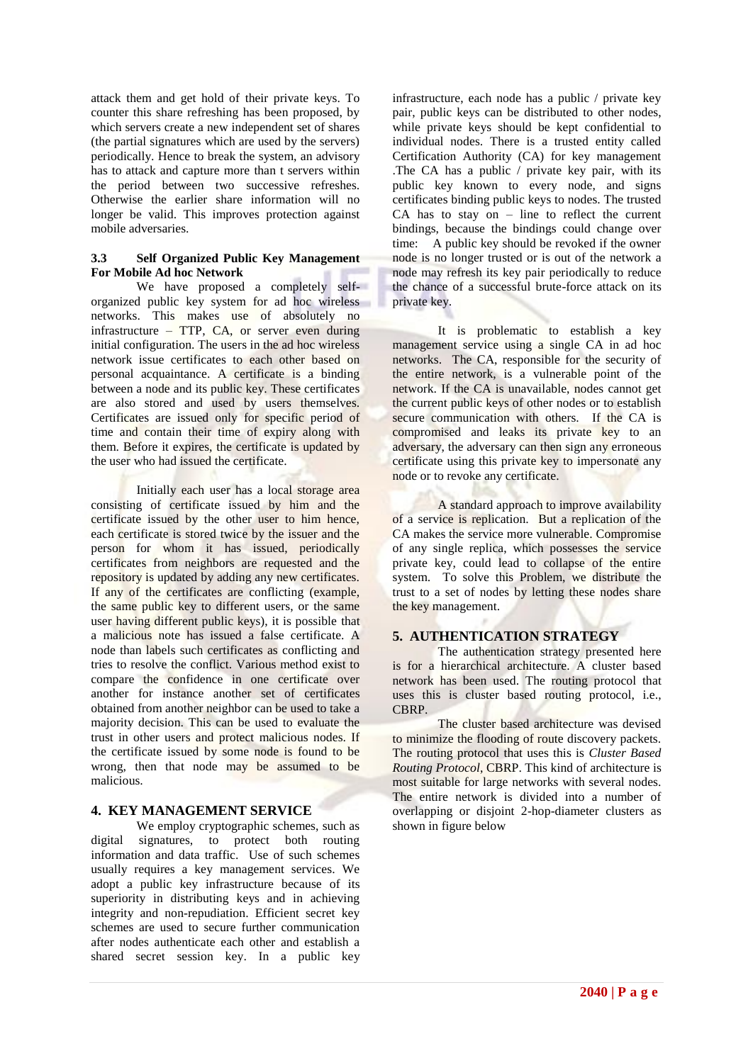attack them and get hold of their private keys. To counter this share refreshing has been proposed, by which servers create a new independent set of shares (the partial signatures which are used by the servers) periodically. Hence to break the system, an advisory has to attack and capture more than t servers within the period between two successive refreshes. Otherwise the earlier share information will no longer be valid. This improves protection against mobile adversaries.

#### **3.3 Self Organized Public Key Management For Mobile Ad hoc Network**

We have proposed a completely selforganized public key system for ad hoc wireless networks. This makes use of absolutely no infrastructure – TTP, CA, or server even during initial configuration. The users in the ad hoc wireless network issue certificates to each other based on personal acquaintance. A certificate is a binding between a node and its public key. These certificates are also stored and used by users themselves. Certificates are issued only for specific period of time and contain their time of expiry along with them. Before it expires, the certificate is updated by the user who had issued the certificate.

Initially each user has a local storage area consisting of certificate issued by him and the certificate issued by the other user to him hence, each certificate is stored twice by the issuer and the person for whom it has issued, periodically certificates from neighbors are requested and the repository is updated by adding any new certificates. If any of the certificates are conflicting (example, the same public key to different users, or the same user having different public keys), it is possible that a malicious note has issued a false certificate. A node than labels such certificates as conflicting and tries to resolve the conflict. Various method exist to compare the confidence in one certificate over another for instance another set of certificates obtained from another neighbor can be used to take a majority decision. This can be used to evaluate the trust in other users and protect malicious nodes. If the certificate issued by some node is found to be wrong, then that node may be assumed to be malicious.

## **4. KEY MANAGEMENT SERVICE**

We employ cryptographic schemes, such as digital signatures, to protect both routing information and data traffic. Use of such schemes usually requires a key management services. We adopt a public key infrastructure because of its superiority in distributing keys and in achieving integrity and non-repudiation. Efficient secret key schemes are used to secure further communication after nodes authenticate each other and establish a shared secret session key. In a public key infrastructure, each node has a public / private key pair, public keys can be distributed to other nodes, while private keys should be kept confidential to individual nodes. There is a trusted entity called Certification Authority (CA) for key management .The CA has a public / private key pair, with its public key known to every node, and signs certificates binding public keys to nodes. The trusted  $CA$  has to stay on – line to reflect the current bindings, because the bindings could change over time: A public key should be revoked if the owner node is no longer trusted or is out of the network a node may refresh its key pair periodically to reduce the chance of a successful brute-force attack on its private key.

It is problematic to establish a key management service using a single CA in ad hoc networks. The CA, responsible for the security of the entire network, is a vulnerable point of the network. If the CA is unavailable, nodes cannot get the current public keys of other nodes or to establish secure communication with others. If the CA is compromised and leaks its private key to an adversary, the adversary can then sign any erroneous certificate using this private key to impersonate any node or to revoke any certificate.

A standard approach to improve availability of a service is replication. But a replication of the CA makes the service more vulnerable. Compromise of any single replica, which possesses the service private key, could lead to collapse of the entire system. To solve this Problem, we distribute the trust to a set of nodes by letting these nodes share the key management.

## **5. AUTHENTICATION STRATEGY**

The authentication strategy presented here is for a hierarchical architecture. A cluster based network has been used. The routing protocol that uses this is cluster based routing protocol, i.e., CBRP.

The cluster based architecture was devised to minimize the flooding of route discovery packets. The routing protocol that uses this is *Cluster Based Routing Protocol*, CBRP. This kind of architecture is most suitable for large networks with several nodes. The entire network is divided into a number of overlapping or disjoint 2-hop-diameter clusters as shown in figure below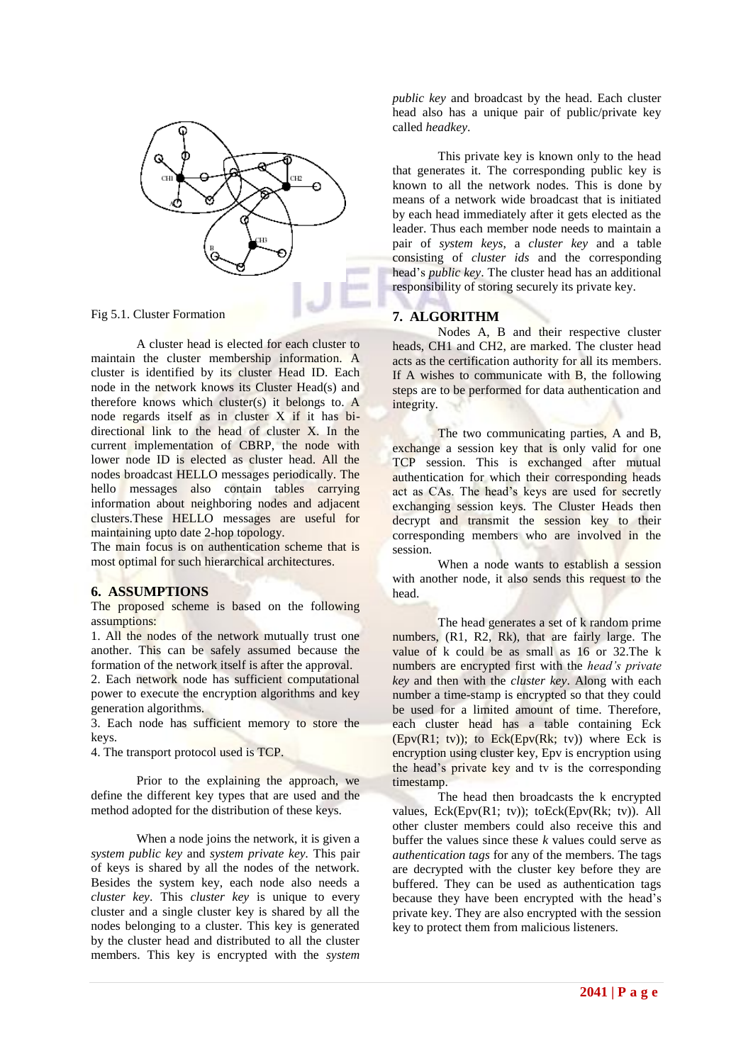

A cluster head is elected for each cluster to maintain the cluster membership information. A cluster is identified by its cluster Head ID. Each node in the network knows its Cluster Head(s) and therefore knows which cluster(s) it belongs to.  $A$ node regards itself as in cluster X if it has bidirectional link to the head of cluster X. In the current implementation of CBRP, the node with lower node ID is elected as cluster head. All the nodes broadcast HELLO messages periodically. The hello messages also contain tables carrying information about neighboring nodes and adjacent clusters.These HELLO messages are useful for maintaining upto date 2-hop topology.

The main focus is on authentication scheme that is most optimal for such hierarchical architectures.

#### **6. ASSUMPTIONS**

The proposed scheme is based on the following assumptions:

1. All the nodes of the network mutually trust one another. This can be safely assumed because the formation of the network itself is after the approval.

2. Each network node has sufficient computational power to execute the encryption algorithms and key generation algorithms.

3. Each node has sufficient memory to store the keys.

4. The transport protocol used is TCP.

Prior to the explaining the approach, we define the different key types that are used and the method adopted for the distribution of these keys.

When a node joins the network, it is given a *system public key* and *system private key.* This pair of keys is shared by all the nodes of the network. Besides the system key, each node also needs a *cluster key*. This *cluster key* is unique to every cluster and a single cluster key is shared by all the nodes belonging to a cluster. This key is generated by the cluster head and distributed to all the cluster members. This key is encrypted with the *system* 

*public key* and broadcast by the head. Each cluster head also has a unique pair of public/private key called *headkey*.

This private key is known only to the head that generates it. The corresponding public key is known to all the network nodes. This is done by means of a network wide broadcast that is initiated by each head immediately after it gets elected as the leader. Thus each member node needs to maintain a pair of *system keys*, a *cluster key* and a table consisting of *cluster ids* and the corresponding head"s *public key*. The cluster head has an additional responsibility of storing securely its private key.

### **7. ALGORITHM**

Nodes A, B and their respective cluster heads, CH1 and CH2, are marked. The cluster head acts as the certification authority for all its members. If A wishes to communicate with B, the following steps are to be performed for data authentication and integrity.

The two communicating parties, A and B, exchange a session key that is only valid for one TCP session. This is exchanged after mutual authentication for which their corresponding heads act as CAs. The head's keys are used for secretly exchanging session keys. The Cluster Heads then decrypt and transmit the session key to their corresponding members who are involved in the session.

When a node wants to establish a session with another node, it also sends this request to the head.

The head generates a set of k random prime numbers, (R1, R2, Rk), that are fairly large. The value of k could be as small as 16 or 32.The k numbers are encrypted first with the *head's private key* and then with the *cluster key*. Along with each number a time-stamp is encrypted so that they could be used for a limited amount of time. Therefore, each cluster head has a table containing Eck (Epv(R1; tv)); to Eck(Epv(Rk; tv)) where Eck is encryption using cluster key, Epv is encryption using the head"s private key and tv is the corresponding timestamp.

The head then broadcasts the k encrypted values, Eck(Epv(R1; tv)); toEck(Epv(Rk; tv)). All other cluster members could also receive this and buffer the values since these *k* values could serve as *authentication tags* for any of the members. The tags are decrypted with the cluster key before they are buffered. They can be used as authentication tags because they have been encrypted with the head"s private key. They are also encrypted with the session key to protect them from malicious listeners.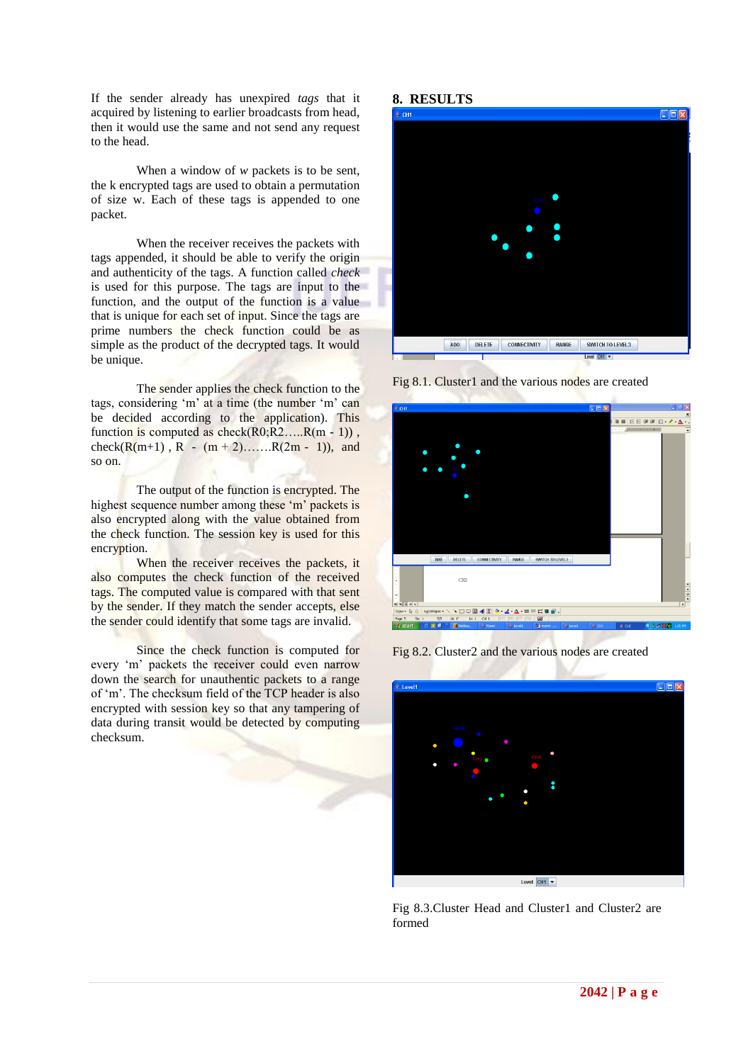If the sender already has unexpired *tags* that it acquired by listening to earlier broadcasts from head, then it would use the same and not send any request to the head.

When a window of *w* packets is to be sent, the k encrypted tags are used to obtain a permutation of size w. Each of these tags is appended to one packet.

When the receiver receives the packets with tags appended, it should be able to verify the origin and authenticity of the tags. A function called *check*  is used for this purpose. The tags are input to the function, and the output of the function is a value that is unique for each set of input. Since the tags are prime numbers the check function could be as simple as the product of the decrypted tags. It would be unique.

The sender applies the check function to the tags, considering 'm' at a time (the number 'm' can be decided according to the application). This function is computed as  $check(R0;R2....R(m-1))$ , check(R(m+1), R - (m + 2).......R(2m - 1)), and so on.

The output of the function is encrypted. The highest sequence number among these 'm' packets is also encrypted along with the value obtained from the check function. The session key is used for this encryption.

When the receiver receives the packets, it also computes the check function of the received tags. The computed value is compared with that sent by the sender. If they match the sender accepts, else the sender could identify that some tags are invalid.

Since the check function is computed for every "m" packets the receiver could even narrow down the search for unauthentic packets to a range of 'm'. The checksum field of the TCP header is also encrypted with session key so that any tampering of data during transit would be detected by computing checksum.

#### **8. RESULTS**



Fig 8.1. Cluster1 and the various nodes are created



Fig 8.2. Cluster2 and the various nodes are created



Fig 8.3.Cluster Head and Cluster1 and Cluster2 are formed